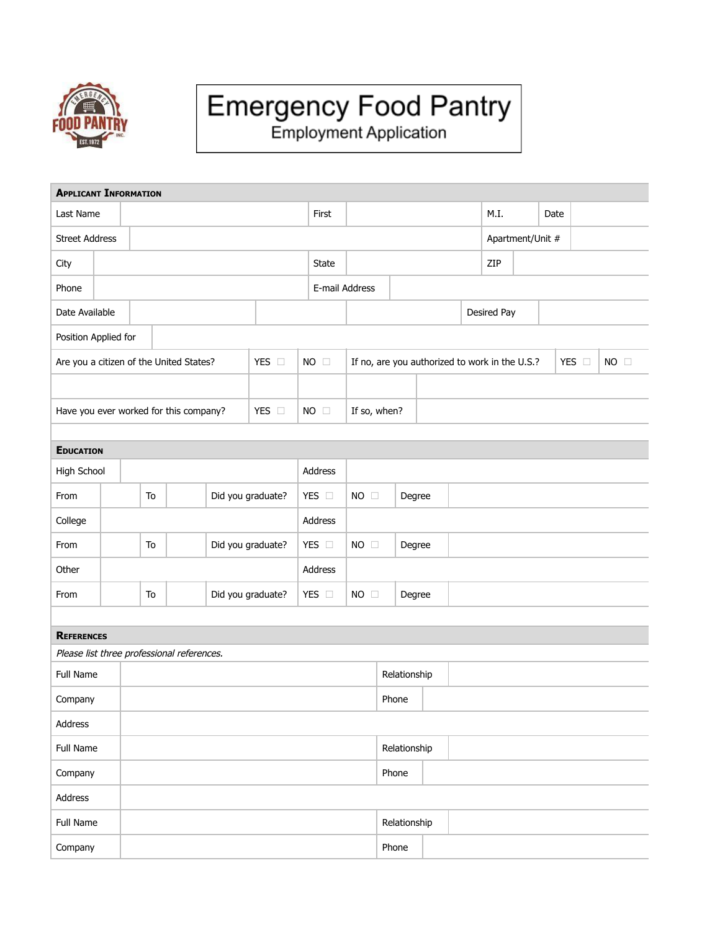

## Emergency Food Pantry<br>Employment Application

| <b>APPLICANT INFORMATION</b>               |                                         |  |    |                   |                   |                   |                |                |                |                  |                                                |             |      |  |      |       |                |  |
|--------------------------------------------|-----------------------------------------|--|----|-------------------|-------------------|-------------------|----------------|----------------|----------------|------------------|------------------------------------------------|-------------|------|--|------|-------|----------------|--|
| Last Name                                  |                                         |  |    |                   |                   |                   |                | First          |                |                  |                                                |             | M.I. |  | Date |       |                |  |
| <b>Street Address</b>                      |                                         |  |    |                   |                   |                   |                |                |                | Apartment/Unit # |                                                |             |      |  |      |       |                |  |
| City                                       |                                         |  |    |                   | <b>State</b>      |                   |                |                |                |                  | ZIP                                            |             |      |  |      |       |                |  |
| Phone                                      |                                         |  |    |                   |                   |                   | E-mail Address |                |                |                  |                                                |             |      |  |      |       |                |  |
| Date Available                             |                                         |  |    |                   |                   |                   |                |                |                |                  |                                                | Desired Pay |      |  |      |       |                |  |
| Position Applied for                       |                                         |  |    |                   |                   |                   |                |                |                |                  |                                                |             |      |  |      |       |                |  |
|                                            | Are you a citizen of the United States? |  |    |                   | YES O             |                   | $NO$ $\square$ |                |                |                  | If no, are you authorized to work in the U.S.? |             |      |  |      | YES O | $NO$ $\square$ |  |
|                                            |                                         |  |    |                   |                   |                   |                |                |                |                  |                                                |             |      |  |      |       |                |  |
| Have you ever worked for this company?     |                                         |  |    |                   |                   | YES O             |                | $NO$ $\square$ | If so, when?   |                  |                                                |             |      |  |      |       |                |  |
|                                            |                                         |  |    |                   |                   |                   |                |                |                |                  |                                                |             |      |  |      |       |                |  |
| <b>EDUCATION</b>                           |                                         |  |    |                   |                   |                   |                |                |                |                  |                                                |             |      |  |      |       |                |  |
| High School                                |                                         |  |    |                   |                   | Address           |                |                |                |                  |                                                |             |      |  |      |       |                |  |
| From                                       |                                         |  | To | Did you graduate? |                   |                   |                | YES $\Box$     | $NO$ $\square$ |                  | Degree                                         |             |      |  |      |       |                |  |
| College                                    |                                         |  |    |                   |                   |                   | Address        |                |                |                  |                                                |             |      |  |      |       |                |  |
| From                                       |                                         |  | To |                   | Did you graduate? |                   |                | YES O          | $NO$ $\square$ |                  | Degree                                         |             |      |  |      |       |                |  |
| Other                                      |                                         |  |    |                   |                   |                   | Address        |                |                |                  |                                                |             |      |  |      |       |                |  |
| From                                       |                                         |  | To |                   |                   | Did you graduate? |                | YES O          | $NO$ $\square$ |                  | Degree                                         |             |      |  |      |       |                |  |
|                                            |                                         |  |    |                   |                   |                   |                |                |                |                  |                                                |             |      |  |      |       |                |  |
| <b>REFERENCES</b>                          |                                         |  |    |                   |                   |                   |                |                |                |                  |                                                |             |      |  |      |       |                |  |
| Please list three professional references. |                                         |  |    |                   |                   |                   |                |                |                |                  |                                                |             |      |  |      |       |                |  |
| Full Name                                  |                                         |  |    |                   |                   |                   |                |                |                | Relationship     |                                                |             |      |  |      |       |                |  |
| Company                                    |                                         |  |    |                   |                   |                   |                |                |                | Phone            |                                                |             |      |  |      |       |                |  |
| Address                                    |                                         |  |    |                   |                   |                   |                |                |                |                  |                                                |             |      |  |      |       |                |  |
| Full Name                                  |                                         |  |    |                   |                   |                   |                |                | Relationship   |                  |                                                |             |      |  |      |       |                |  |
| Company                                    |                                         |  |    |                   |                   |                   |                |                |                | Phone            |                                                |             |      |  |      |       |                |  |
| Address                                    |                                         |  |    |                   |                   |                   |                |                |                |                  |                                                |             |      |  |      |       |                |  |
| Full Name                                  |                                         |  |    |                   |                   |                   |                |                | Relationship   |                  |                                                |             |      |  |      |       |                |  |
| Company                                    |                                         |  |    |                   |                   |                   |                |                |                | Phone            |                                                |             |      |  |      |       |                |  |